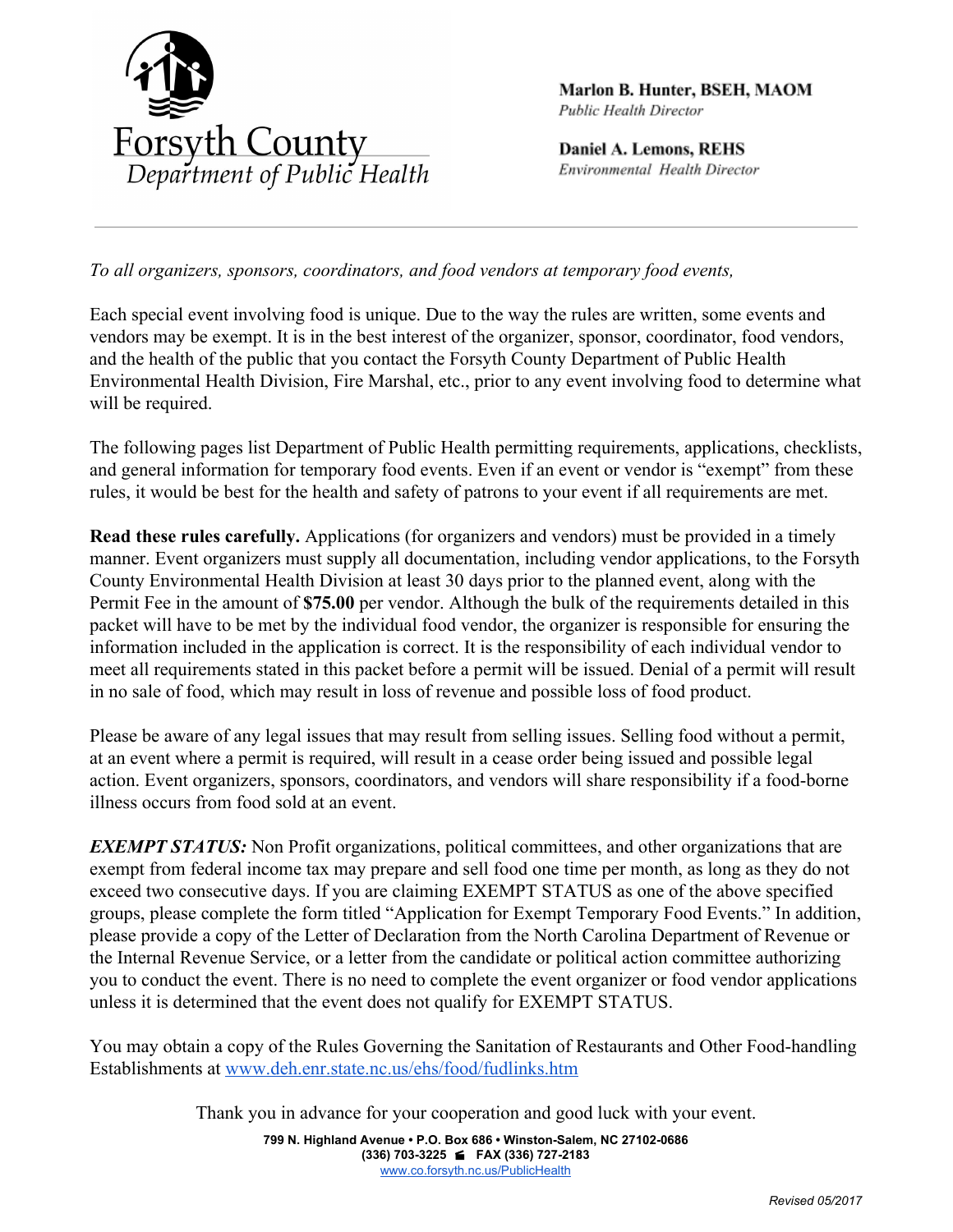

Marlon B. Hunter, BSEH, MAOM Public Health Director

Daniel A. Lemons, REHS Environmental Health Director

*To all organizers, sponsors, coordinators, and food vendors at temporary food events,*

Each special event involving food is unique. Due to the way the rules are written, some events and vendors may be exempt. It is in the best interest of the organizer, sponsor, coordinator, food vendors, and the health of the public that you contact the Forsyth County Department of Public Health Environmental Health Division, Fire Marshal, etc., prior to any event involving food to determine what will be required.

The following pages list Department of Public Health permitting requirements, applications, checklists, and general information for temporary food events. Even if an event or vendor is "exempt" from these rules, it would be best for the health and safety of patrons to your event if all requirements are met.

**Read these rules carefully.** Applications (for organizers and vendors) must be provided in a timely manner. Event organizers must supply all documentation, including vendor applications, to the Forsyth County Environmental Health Division at least 30 days prior to the planned event, along with the Permit Fee in the amount of **\$75.00** per vendor. Although the bulk of the requirements detailed in this packet will have to be met by the individual food vendor, the organizer is responsible for ensuring the information included in the application is correct. It is the responsibility of each individual vendor to meet all requirements stated in this packet before a permit will be issued. Denial of a permit will result in no sale of food, which may result in loss of revenue and possible loss of food product.

Please be aware of any legal issues that may result from selling issues. Selling food without a permit, at an event where a permit is required, will result in a cease order being issued and possible legal action. Event organizers, sponsors, coordinators, and vendors will share responsibility if a food-borne illness occurs from food sold at an event.

*EXEMPT STATUS:* Non Profit organizations, political committees, and other organizations that are exempt from federal income tax may prepare and sell food one time per month, as long as they do not exceed two consecutive days. If you are claiming EXEMPT STATUS as one of the above specified groups, please complete the form titled "Application for Exempt Temporary Food Events." In addition, please provide a copy of the Letter of Declaration from the North Carolina Department of Revenue or the Internal Revenue Service, or a letter from the candidate or political action committee authorizing you to conduct the event. There is no need to complete the event organizer or food vendor applications unless it is determined that the event does not qualify for EXEMPT STATUS.

You may obtain a copy of the Rules Governing the Sanitation of Restaurants and Other Food-handling Establishments at [www.deh.enr.state.nc.us/ehs/food/fudlinks.htm](http://www.deh.enr.state.nc.us/ehs/food/fudlinks.htm)

Thank you in advance for your cooperation and good luck with your event.

**799 N. Highland Avenue • P.O. Box 686 • Winston-Salem, NC 27102-0686 (336) 703-3225 FAX (336) 727-2183** [www.co.forsyth.nc.us/PublicHealth](http://www.co.forsyth.nc.us/PublicHealth)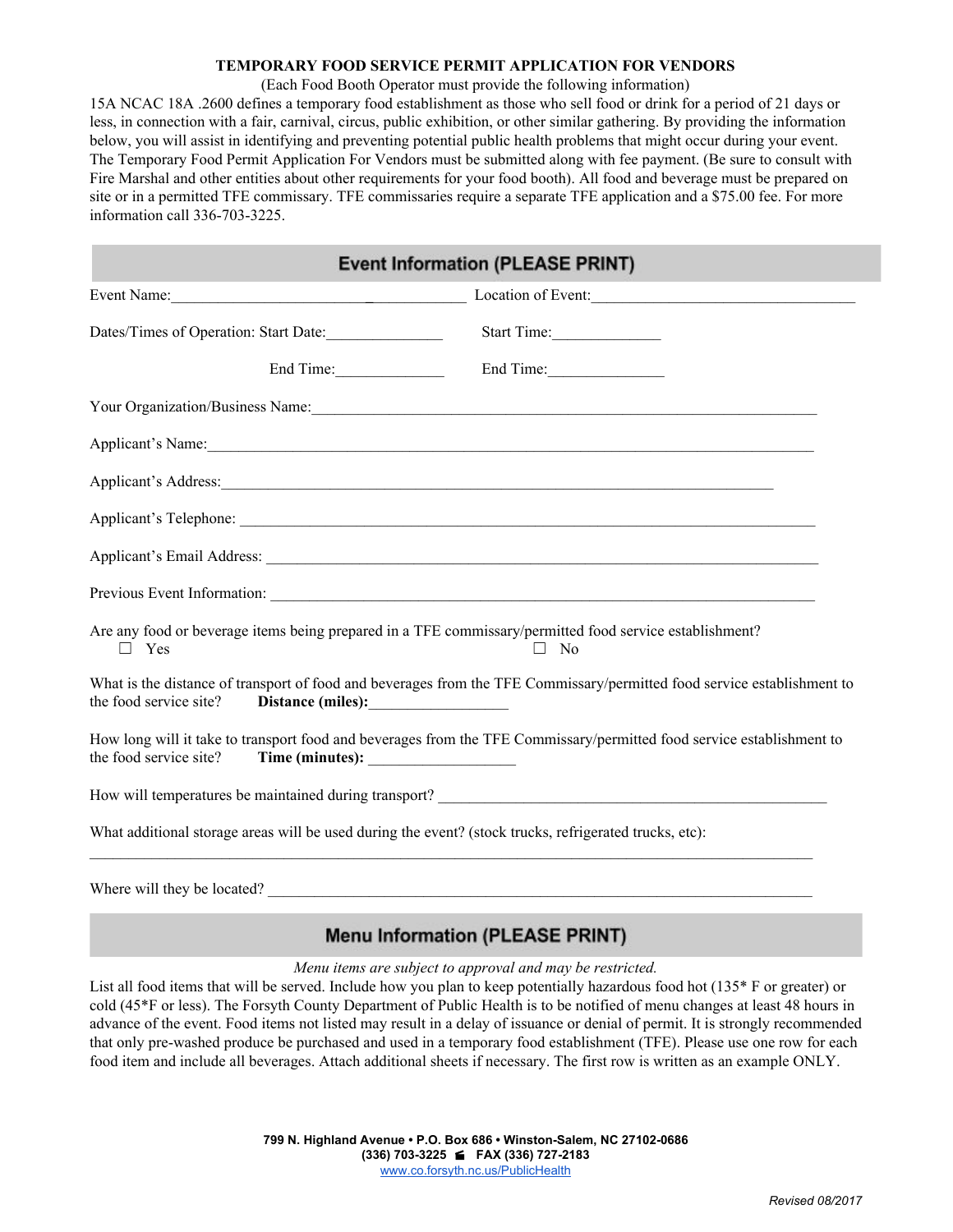#### **TEMPORARY FOOD SERVICE PERMIT APPLICATION FOR VENDORS**

#### (Each Food Booth Operator must provide the following information)

15A NCAC 18A .2600 defines a temporary food establishment as those who sell food or drink for a period of 21 days or less, in connection with a fair, carnival, circus, public exhibition, or other similar gathering. By providing the information below, you will assist in identifying and preventing potential public health problems that might occur during your event. The Temporary Food Permit Application For Vendors must be submitted along with fee payment. (Be sure to consult with Fire Marshal and other entities about other requirements for your food booth). All food and beverage must be prepared on site or in a permitted TFE commissary. TFE commissaries require a separate TFE application and a \$75.00 fee. For more information call 336-703-3225.

| <b>Event Information (PLEASE PRINT)</b>                                                                                                                                                                                        |
|--------------------------------------------------------------------------------------------------------------------------------------------------------------------------------------------------------------------------------|
| Event Name: Location of Event: Location of Event:                                                                                                                                                                              |
| Dates/Times of Operation: Start Date:                                                                                                                                                                                          |
| End Time:<br>End Time:                                                                                                                                                                                                         |
| Your Organization/Business Name:                                                                                                                                                                                               |
| Applicant's Name:                                                                                                                                                                                                              |
|                                                                                                                                                                                                                                |
|                                                                                                                                                                                                                                |
| Applicant's Email Address: Lawrence and American contract to the contract of the contract of the contract of the contract of the contract of the contract of the contract of the contract of the contract of the contract of t |
|                                                                                                                                                                                                                                |
| Are any food or beverage items being prepared in a TFE commissary/permitted food service establishment?<br>$\Box$ No                                                                                                           |
| What is the distance of transport of food and beverages from the TFE Commissary/permitted food service establishment to                                                                                                        |
| How long will it take to transport food and beverages from the TFE Commissary/permitted food service establishment to                                                                                                          |
|                                                                                                                                                                                                                                |
| What additional storage areas will be used during the event? (stock trucks, refrigerated trucks, etc):                                                                                                                         |
|                                                                                                                                                                                                                                |

Where will they be located?

# **Menu Information (PLEASE PRINT)**

#### *Menu items are subject to approval and may be restricted.*

List all food items that will be served. Include how you plan to keep potentially hazardous food hot (135<sup>\*</sup> F or greater) or cold (45\*F or less). The Forsyth County Department of Public Health is to be notified of menu changes at least 48 hours in advance of the event. Food items not listed may result in a delay of issuance or denial of permit. It is strongly recommended that only pre-washed produce be purchased and used in a temporary food establishment (TFE). Please use one row for each food item and include all beverages. Attach additional sheets if necessary. The first row is written as an example ONLY.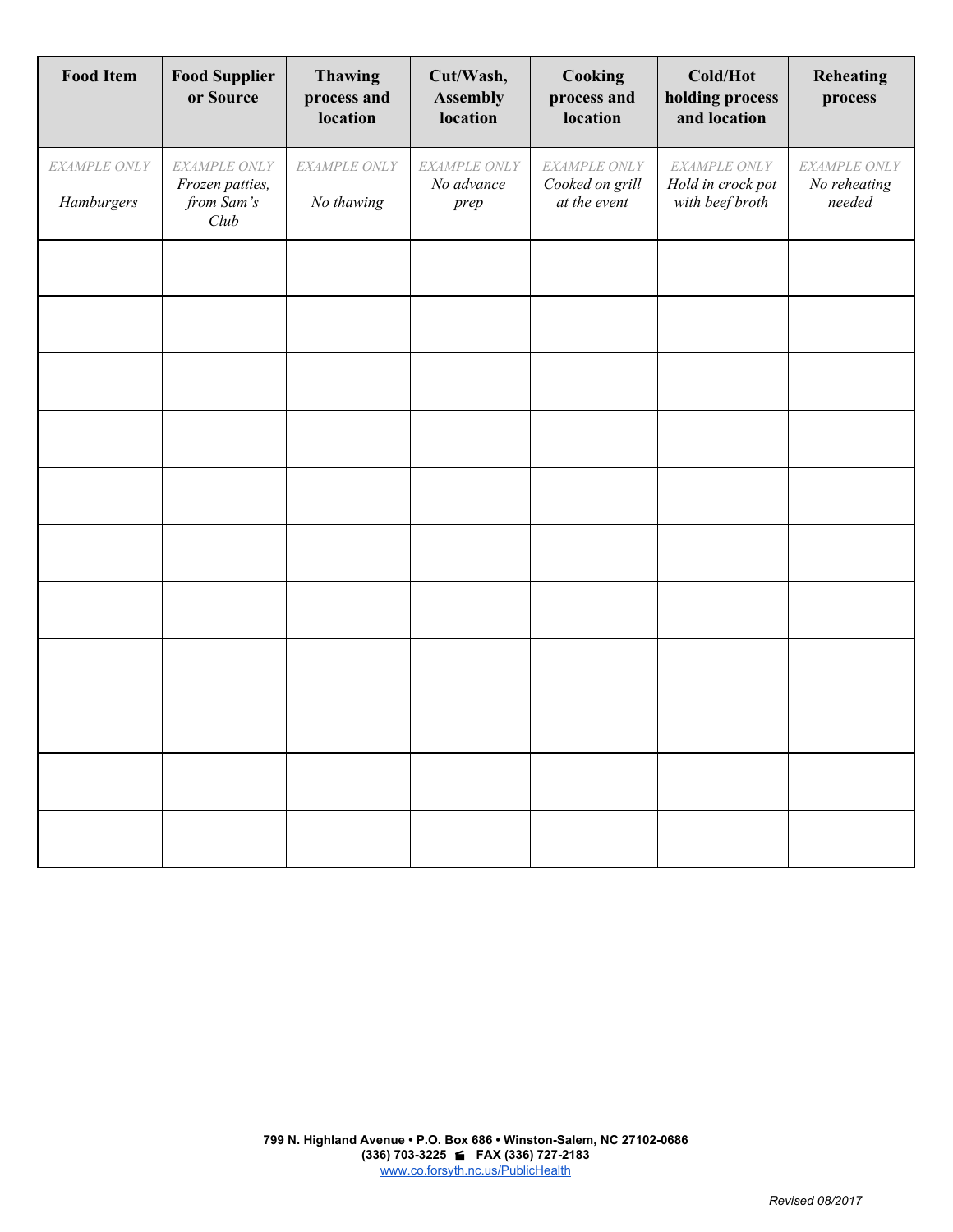| <b>Food Item</b>           | <b>Food Supplier</b><br>or Source                     | <b>Thawing</b><br>process and<br>location | Cut/Wash,<br><b>Assembly</b><br>location | Cooking<br>process and<br>location              | Cold/Hot<br>holding process<br>and location          | <b>Reheating</b><br>process            |
|----------------------------|-------------------------------------------------------|-------------------------------------------|------------------------------------------|-------------------------------------------------|------------------------------------------------------|----------------------------------------|
| EXAMPLE ONLY<br>Hamburgers | EXAMPLE ONLY<br>Frozen patties,<br>from Sam's<br>Club | EXAMPLE ONLY<br>No thawing                | EXAMPLE ONLY<br>No advance<br>prep       | EXAMPLE ONLY<br>Cooked on grill<br>at the event | EXAMPLE ONLY<br>Hold in crock pot<br>with beef broth | EXAMPLE ONLY<br>No reheating<br>needed |
|                            |                                                       |                                           |                                          |                                                 |                                                      |                                        |
|                            |                                                       |                                           |                                          |                                                 |                                                      |                                        |
|                            |                                                       |                                           |                                          |                                                 |                                                      |                                        |
|                            |                                                       |                                           |                                          |                                                 |                                                      |                                        |
|                            |                                                       |                                           |                                          |                                                 |                                                      |                                        |
|                            |                                                       |                                           |                                          |                                                 |                                                      |                                        |
|                            |                                                       |                                           |                                          |                                                 |                                                      |                                        |
|                            |                                                       |                                           |                                          |                                                 |                                                      |                                        |
|                            |                                                       |                                           |                                          |                                                 |                                                      |                                        |
|                            |                                                       |                                           |                                          |                                                 |                                                      |                                        |
|                            |                                                       |                                           |                                          |                                                 |                                                      |                                        |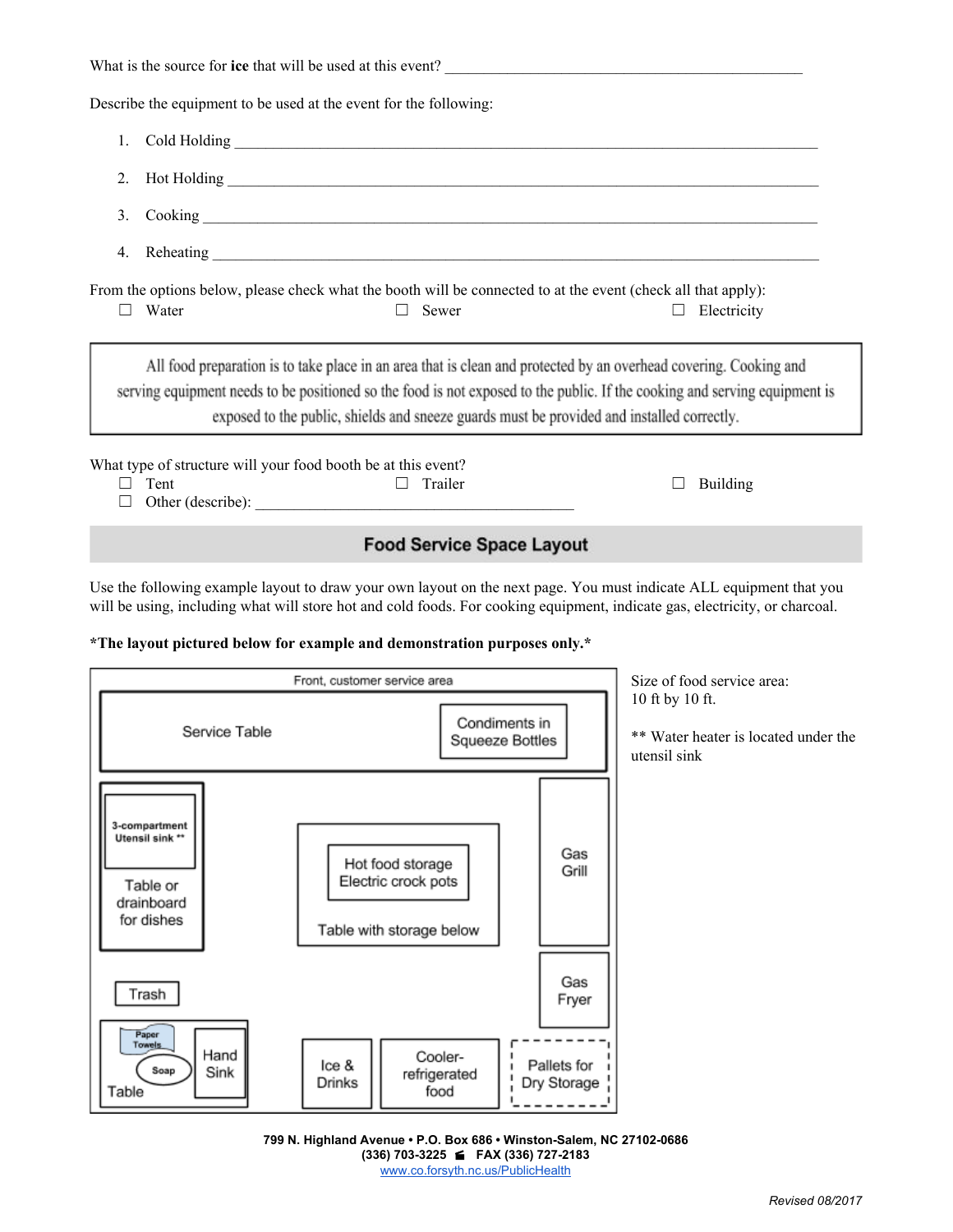| What is the source for ice that will be used at this event?                                                                                                                                                                                                                                                                                   |  |  |  |  |  |
|-----------------------------------------------------------------------------------------------------------------------------------------------------------------------------------------------------------------------------------------------------------------------------------------------------------------------------------------------|--|--|--|--|--|
| Describe the equipment to be used at the event for the following:                                                                                                                                                                                                                                                                             |  |  |  |  |  |
| 1.                                                                                                                                                                                                                                                                                                                                            |  |  |  |  |  |
| $2_{1}$                                                                                                                                                                                                                                                                                                                                       |  |  |  |  |  |
| 3.                                                                                                                                                                                                                                                                                                                                            |  |  |  |  |  |
| 4.                                                                                                                                                                                                                                                                                                                                            |  |  |  |  |  |
| From the options below, please check what the booth will be connected to at the event (check all that apply):<br>Water<br>Sewer<br>Electricity<br>$\perp$                                                                                                                                                                                     |  |  |  |  |  |
| All food preparation is to take place in an area that is clean and protected by an overhead covering. Cooking and<br>serving equipment needs to be positioned so the food is not exposed to the public. If the cooking and serving equipment is<br>exposed to the public, shields and sneeze guards must be provided and installed correctly. |  |  |  |  |  |
| What type of structure will your food booth be at this event?<br>Tent<br>Trailer<br><b>Building</b>                                                                                                                                                                                                                                           |  |  |  |  |  |

# **Food Service Space Layout**

Use the following example layout to draw your own layout on the next page. You must indicate ALL equipment that you will be using, including what will store hot and cold foods. For cooking equipment, indicate gas, electricity, or charcoal.

#### **\*The layout pictured below for example and demonstration purposes only.\***



**799 N. Highland Avenue • P.O. Box 686 • Winston-Salem, NC 27102-0686 (336) 703-3225 FAX (336) 727-2183** [www.co.forsyth.nc.us/PublicHealth](http://www.co.forsyth.nc.us/PublicHealth)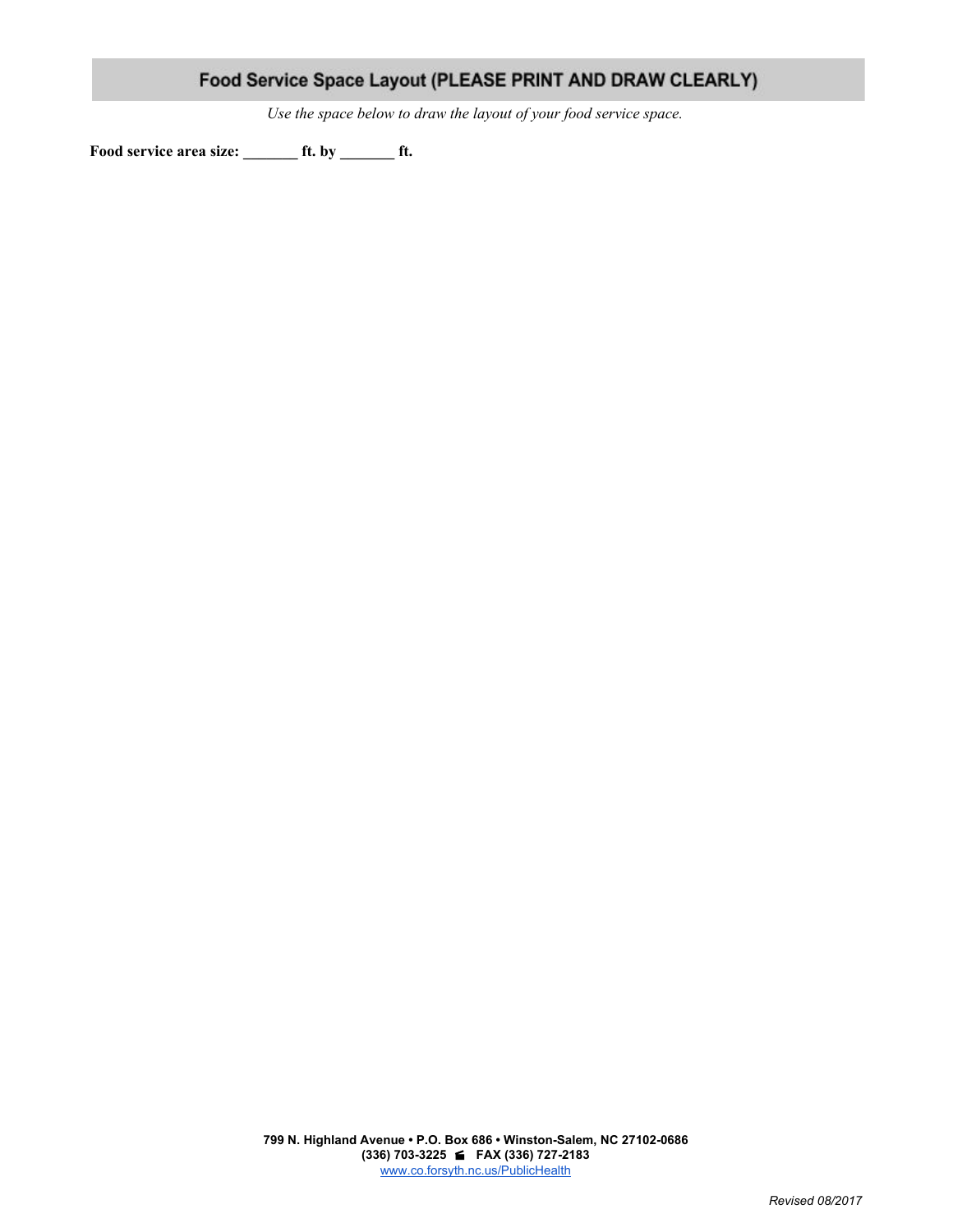|  | Food Service Space Layout (PLEASE PRINT AND DRAW CLEARLY) |
|--|-----------------------------------------------------------|
|--|-----------------------------------------------------------|

*Use the space below to draw the layout of your food service space.*

**Food service area size: \_\_\_\_\_\_\_ ft. by \_\_\_\_\_\_\_ ft.**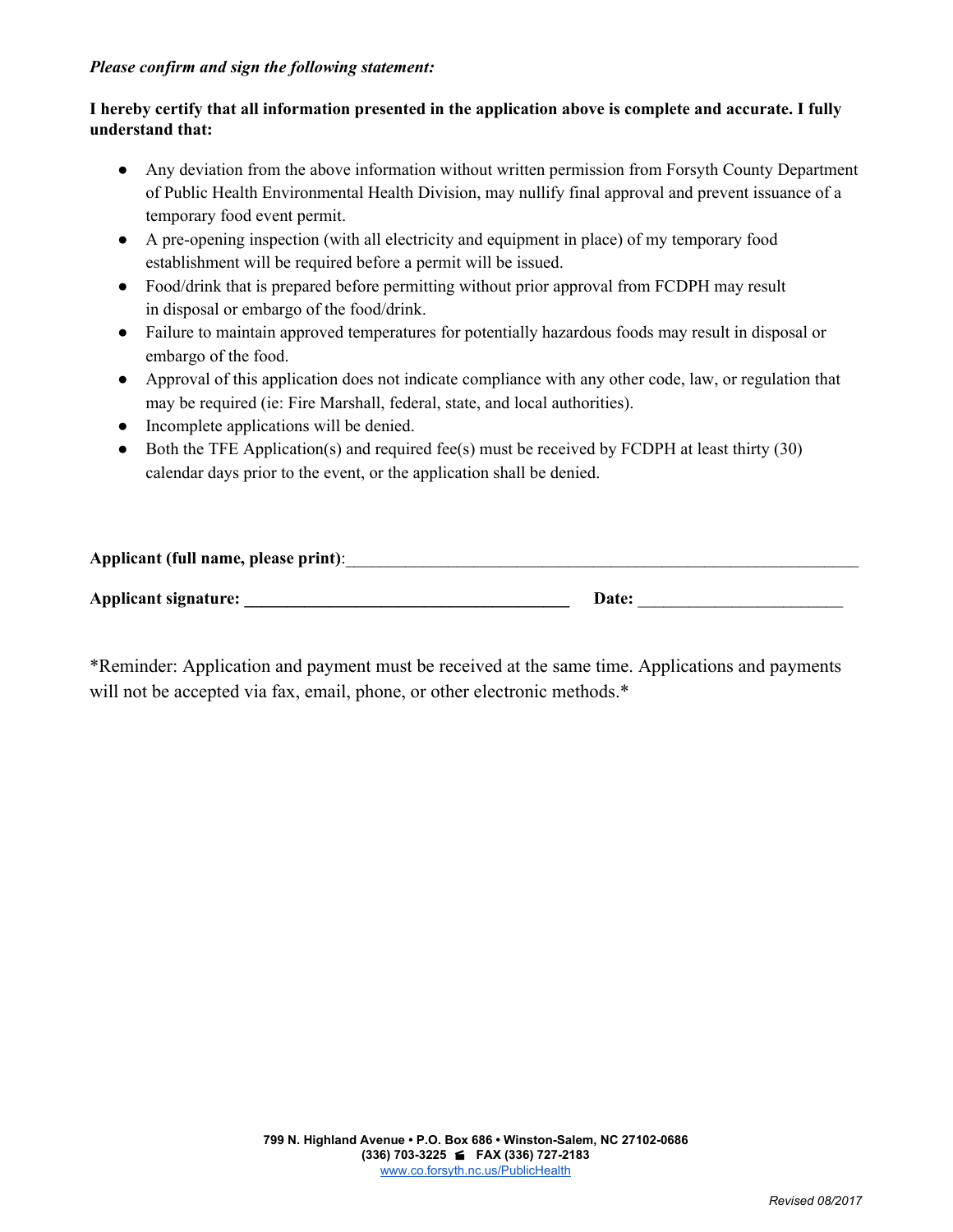### *Please confirm and sign the following statement:*

## I hereby certify that all information presented in the application above is complete and accurate. I fully **understand that:**

- Any deviation from the above information without written permission from Forsyth County Department of Public Health Environmental Health Division, may nullify final approval and prevent issuance of a temporary food event permit.
- A pre-opening inspection (with all electricity and equipment in place) of my temporary food establishment will be required before a permit will be issued.
- Food/drink that is prepared before permitting without prior approval from FCDPH may result in disposal or embargo of the food/drink.
- Failure to maintain approved temperatures for potentially hazardous foods may result in disposal or embargo of the food.
- Approval of this application does not indicate compliance with any other code, law, or regulation that may be required (ie: Fire Marshall, federal, state, and local authorities).
- Incomplete applications will be denied.
- $\bullet$  Both the TFE Application(s) and required fee(s) must be received by FCDPH at least thirty (30) calendar days prior to the event, or the application shall be denied.

| Applicant (full name, please print): |       |
|--------------------------------------|-------|
| <b>Applicant signature:</b>          | Date: |

\*Reminder: Application and payment must be received at the same time. Applications and payments will not be accepted via fax, email, phone, or other electronic methods.\*